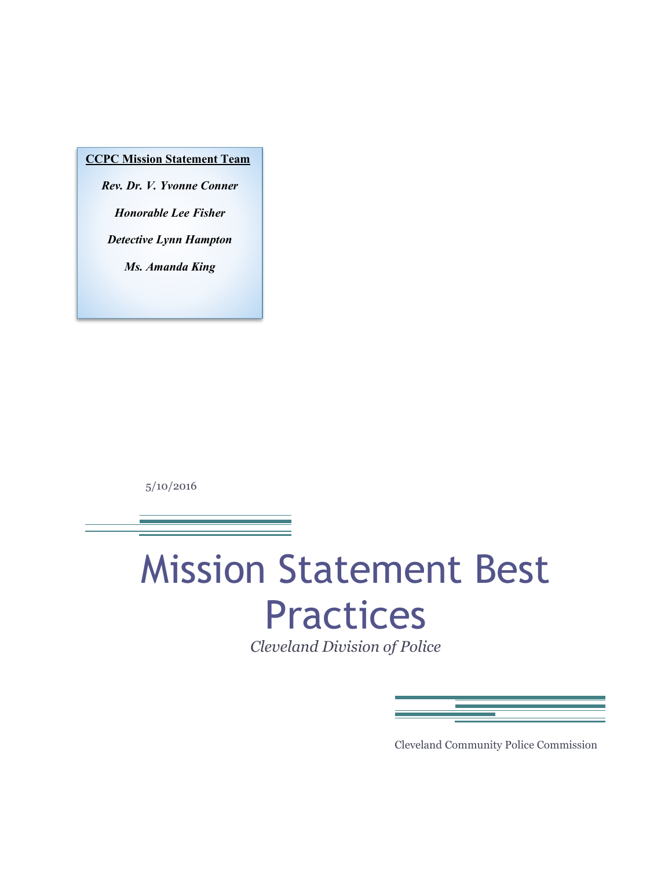#### **CCPC Mission Statement Team**

*Rev. Dr. V. Yvonne Conner Honorable Lee Fisher Detective Lynn Hampton Ms. Amanda King*

5/10/2016

# Mission Statement Best Practices

*Cleveland Division of Police*

Cleveland Community Police Commission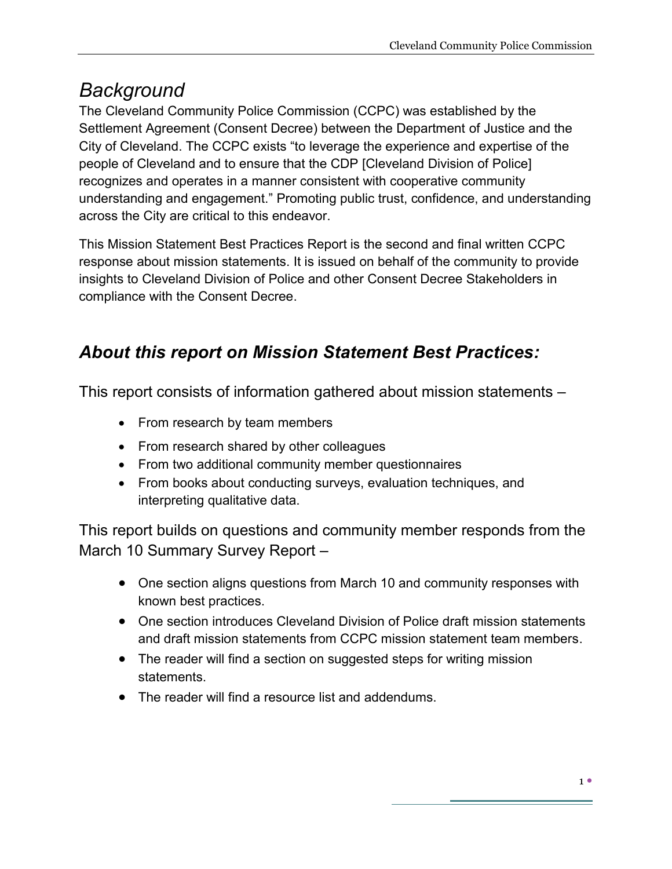## *Background*

The Cleveland Community Police Commission (CCPC) was established by the Settlement Agreement (Consent Decree) between the Department of Justice and the City of Cleveland. The CCPC exists "to leverage the experience and expertise of the people of Cleveland and to ensure that the CDP [Cleveland Division of Police] recognizes and operates in a manner consistent with cooperative community understanding and engagement." Promoting public trust, confidence, and understanding across the City are critical to this endeavor.

This Mission Statement Best Practices Report is the second and final written CCPC response about mission statements. It is issued on behalf of the community to provide insights to Cleveland Division of Police and other Consent Decree Stakeholders in compliance with the Consent Decree.

## *About this report on Mission Statement Best Practices:*

This report consists of information gathered about mission statements –

- From research by team members
- From research shared by other colleagues
- From two additional community member questionnaires
- From books about conducting surveys, evaluation techniques, and interpreting qualitative data.

This report builds on questions and community member responds from the March 10 Summary Survey Report –

- One section aligns questions from March 10 and community responses with known best practices.
- One section introduces Cleveland Division of Police draft mission statements and draft mission statements from CCPC mission statement team members.
- The reader will find a section on suggested steps for writing mission statements.
- $\bullet$  The reader will find a resource list and addendums.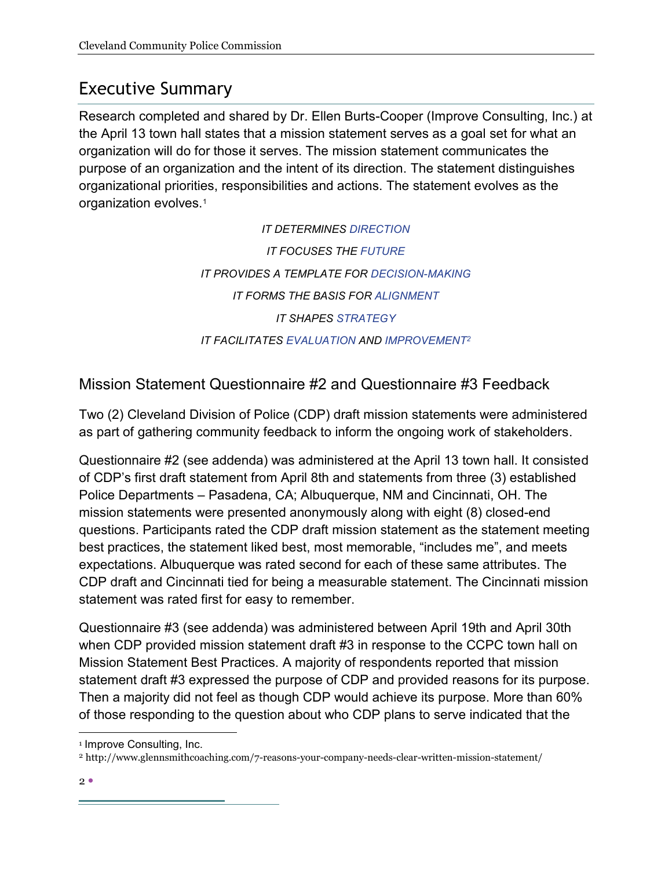## Executive Summary

Research completed and shared by Dr. Ellen Burts-Cooper (Improve Consulting, Inc.) at the April 13 town hall states that a mission statement serves as a goal set for what an organization will do for those it serves. The mission statement communicates the purpose of an organization and the intent of its direction. The statement distinguishes organizational priorities, responsibilities and actions. The statement evolves as the organization evolves.1

> *IT DETERMINES DIRECTION IT FOCUSES THE FUTURE IT PROVIDES A TEMPLATE FOR DECISION-MAKING IT FORMS THE BASIS FOR ALIGNMENT IT SHAPES STRATEGY IT FACILITATES EVALUATION AND IMPROVEMENT2*

## Mission Statement Questionnaire #2 and Questionnaire #3 Feedback

Two (2) Cleveland Division of Police (CDP) draft mission statements were administered as part of gathering community feedback to inform the ongoing work of stakeholders.

Questionnaire #2 (see addenda) was administered at the April 13 town hall. It consisted of CDP's first draft statement from April 8th and statements from three (3) established Police Departments – Pasadena, CA; Albuquerque, NM and Cincinnati, OH. The mission statements were presented anonymously along with eight (8) closed-end questions. Participants rated the CDP draft mission statement as the statement meeting best practices, the statement liked best, most memorable, "includes me", and meets expectations. Albuquerque was rated second for each of these same attributes. The CDP draft and Cincinnati tied for being a measurable statement. The Cincinnati mission statement was rated first for easy to remember.

Questionnaire #3 (see addenda) was administered between April 19th and April 30th when CDP provided mission statement draft #3 in response to the CCPC town hall on Mission Statement Best Practices. A majority of respondents reported that mission statement draft #3 expressed the purpose of CDP and provided reasons for its purpose. Then a majority did not feel as though CDP would achieve its purpose. More than 60% of those responding to the question about who CDP plans to serve indicated that the

<sup>&</sup>lt;sup>1</sup> Improve Consulting, Inc.

<sup>2</sup> http://www.glennsmithcoaching.com/7-reasons-your-company-needs-clear-written-mission-statement/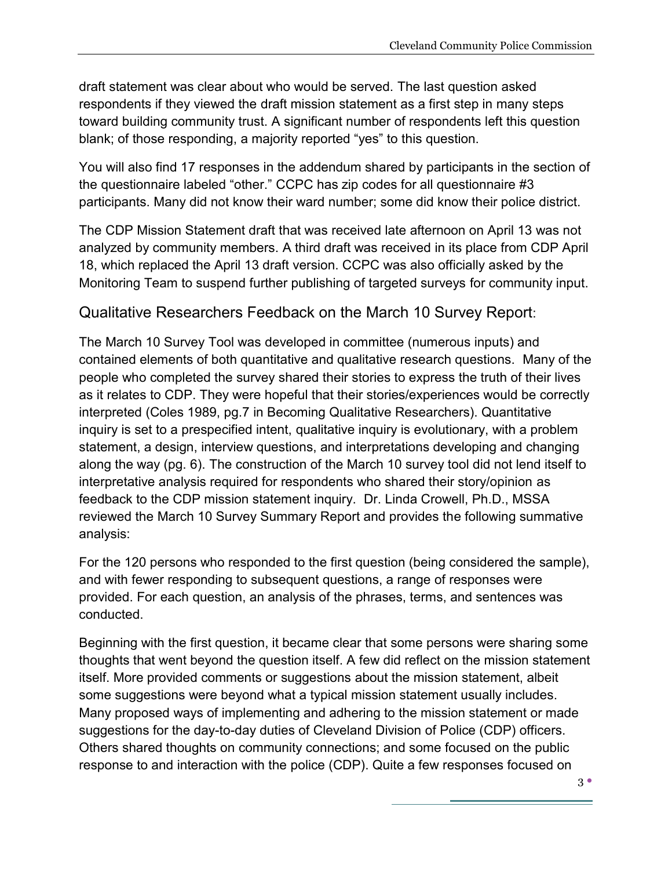draft statement was clear about who would be served. The last question asked respondents if they viewed the draft mission statement as a first step in many steps toward building community trust. A significant number of respondents left this question blank; of those responding, a majority reported "yes" to this question.

You will also find 17 responses in the addendum shared by participants in the section of the questionnaire labeled "other." CCPC has zip codes for all questionnaire #3 participants. Many did not know their ward number; some did know their police district.

The CDP Mission Statement draft that was received late afternoon on April 13 was not analyzed by community members. A third draft was received in its place from CDP April 18, which replaced the April 13 draft version. CCPC was also officially asked by the Monitoring Team to suspend further publishing of targeted surveys for community input.

#### Qualitative Researchers Feedback on the March 10 Survey Report:

The March 10 Survey Tool was developed in committee (numerous inputs) and contained elements of both quantitative and qualitative research questions. Many of the people who completed the survey shared their stories to express the truth of their lives as it relates to CDP. They were hopeful that their stories/experiences would be correctly interpreted (Coles 1989, pg.7 in Becoming Qualitative Researchers). Quantitative inquiry is set to a prespecified intent, qualitative inquiry is evolutionary, with a problem statement, a design, interview questions, and interpretations developing and changing along the way (pg. 6). The construction of the March 10 survey tool did not lend itself to interpretative analysis required for respondents who shared their story/opinion as feedback to the CDP mission statement inquiry. Dr. Linda Crowell, Ph.D., MSSA reviewed the March 10 Survey Summary Report and provides the following summative analysis:

For the 120 persons who responded to the first question (being considered the sample), and with fewer responding to subsequent questions, a range of responses were provided. For each question, an analysis of the phrases, terms, and sentences was conducted.

Beginning with the first question, it became clear that some persons were sharing some thoughts that went beyond the question itself. A few did reflect on the mission statement itself. More provided comments or suggestions about the mission statement, albeit some suggestions were beyond what a typical mission statement usually includes. Many proposed ways of implementing and adhering to the mission statement or made suggestions for the day-to-day duties of Cleveland Division of Police (CDP) officers. Others shared thoughts on community connections; and some focused on the public response to and interaction with the police (CDP). Quite a few responses focused on

 $3<sup>°</sup>$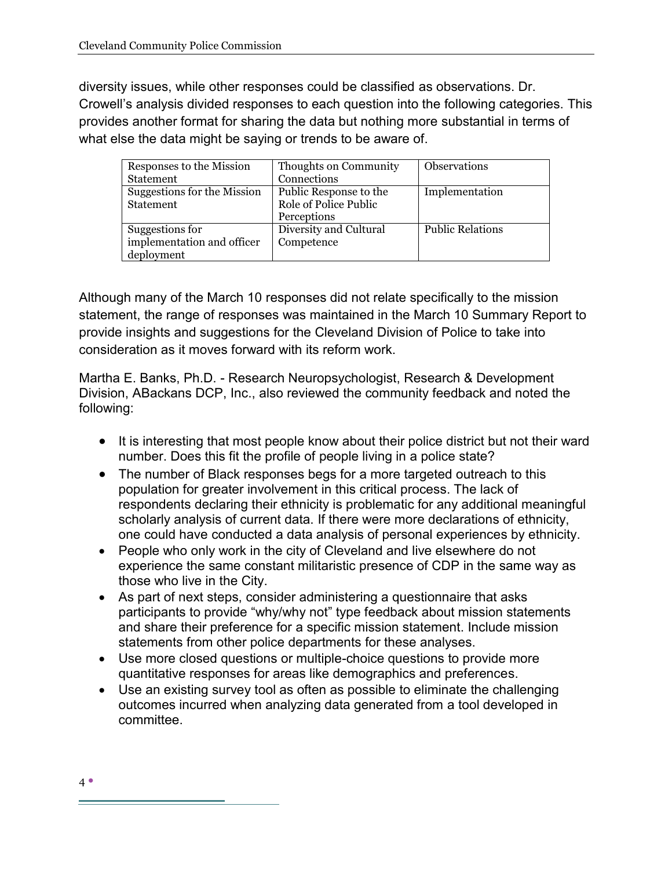diversity issues, while other responses could be classified as observations. Dr. Crowell's analysis divided responses to each question into the following categories. This provides another format for sharing the data but nothing more substantial in terms of what else the data might be saying or trends to be aware of.

| Responses to the Mission    | Thoughts on Community  | <b>Observations</b>     |
|-----------------------------|------------------------|-------------------------|
| Statement                   | Connections            |                         |
| Suggestions for the Mission | Public Response to the | Implementation          |
| Statement                   | Role of Police Public  |                         |
|                             | Perceptions            |                         |
| Suggestions for             | Diversity and Cultural | <b>Public Relations</b> |
| implementation and officer  | Competence             |                         |
| deployment                  |                        |                         |

Although many of the March 10 responses did not relate specifically to the mission statement, the range of responses was maintained in the March 10 Summary Report to provide insights and suggestions for the Cleveland Division of Police to take into consideration as it moves forward with its reform work.

Martha E. Banks, Ph.D. - Research Neuropsychologist, Research & Development Division, ABackans DCP, Inc., also reviewed the community feedback and noted the following:

- It is interesting that most people know about their police district but not their ward number. Does this fit the profile of people living in a police state?
- The number of Black responses begs for a more targeted outreach to this population for greater involvement in this critical process. The lack of respondents declaring their ethnicity is problematic for any additional meaningful scholarly analysis of current data. If there were more declarations of ethnicity, one could have conducted a data analysis of personal experiences by ethnicity.
- People who only work in the city of Cleveland and live elsewhere do not experience the same constant militaristic presence of CDP in the same way as those who live in the City.
- As part of next steps, consider administering a questionnaire that asks participants to provide "why/why not" type feedback about mission statements and share their preference for a specific mission statement. Include mission statements from other police departments for these analyses.
- Use more closed questions or multiple-choice questions to provide more quantitative responses for areas like demographics and preferences.
- Use an existing survey tool as often as possible to eliminate the challenging outcomes incurred when analyzing data generated from a tool developed in committee.

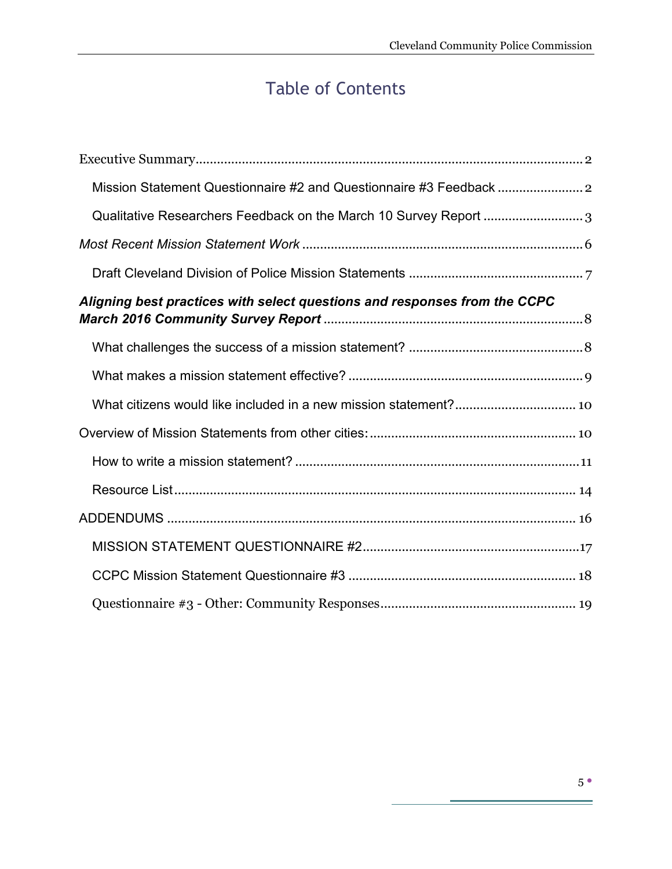## Table of Contents

| Mission Statement Questionnaire #2 and Questionnaire #3 Feedback          |
|---------------------------------------------------------------------------|
| Qualitative Researchers Feedback on the March 10 Survey Report 3          |
|                                                                           |
|                                                                           |
| Aligning best practices with select questions and responses from the CCPC |
|                                                                           |
|                                                                           |
|                                                                           |
|                                                                           |
|                                                                           |
|                                                                           |
|                                                                           |
|                                                                           |
|                                                                           |
|                                                                           |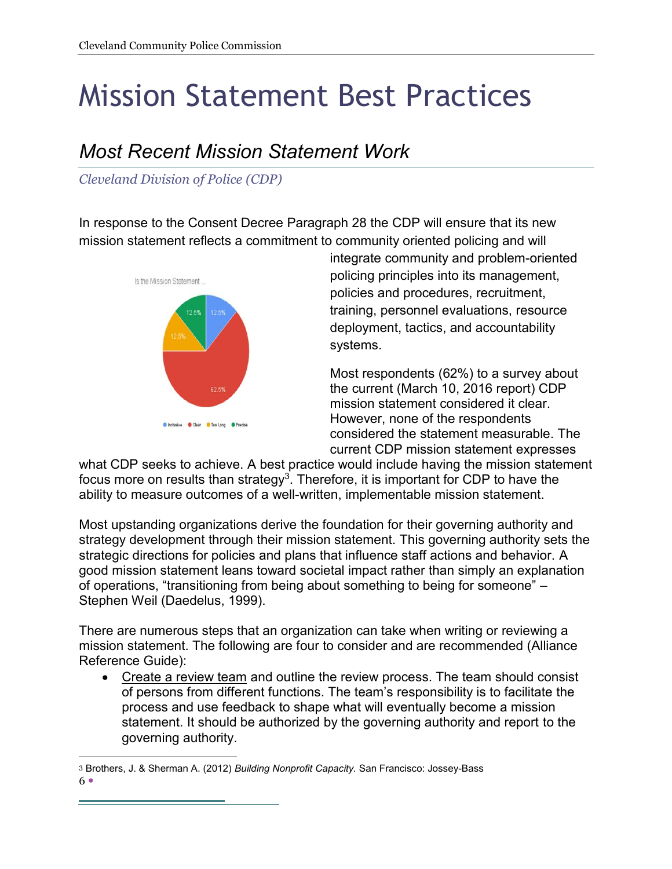## Mission Statement Best Practices

## *Most Recent Mission Statement Work*

*Cleveland Division of Police (CDP)*

In response to the Consent Decree Paragraph 28 the CDP will ensure that its new mission statement reflects a commitment to community oriented policing and will



integrate community and problem-oriented policing principles into its management, policies and procedures, recruitment, training, personnel evaluations, resource deployment, tactics, and accountability systems.

Most respondents (62%) to a survey about the current (March 10, 2016 report) CDP mission statement considered it clear. However, none of the respondents considered the statement measurable. The current CDP mission statement expresses

what CDP seeks to achieve. A best practice would include having the mission statement focus more on results than strategy<sup>3</sup>. Therefore, it is important for CDP to have the ability to measure outcomes of a well-written, implementable mission statement.

Most upstanding organizations derive the foundation for their governing authority and strategy development through their mission statement. This governing authority sets the strategic directions for policies and plans that influence staff actions and behavior. A good mission statement leans toward societal impact rather than simply an explanation of operations, "transitioning from being about something to being for someone" – Stephen Weil (Daedelus, 1999).

There are numerous steps that an organization can take when writing or reviewing a mission statement. The following are four to consider and are recommended (Alliance Reference Guide):

• Create a review team and outline the review process. The team should consist of persons from different functions. The team's responsibility is to facilitate the process and use feedback to shape what will eventually become a mission statement. It should be authorized by the governing authority and report to the governing authority.

 $6 \bullet$ 3 Brothers, J. & Sherman A. (2012) *Building Nonprofit Capacity.* San Francisco: Jossey-Bass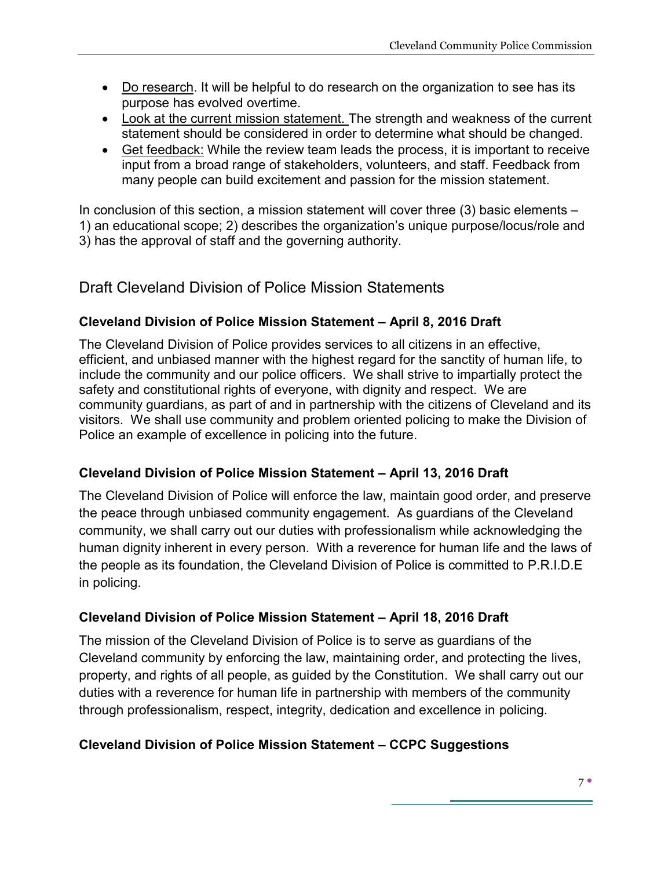- Do research. It will be helpful to do research on the organization to see has its purpose has evolved overtime.
- Look at the current mission statement. The strength and weakness of the current statement should be considered in order to determine what should be changed.
- Get feedback: While the review team leads the process, it is important to receive input from a broad range of stakeholders, volunteers, and staff. Feedback from many people can build excitement and passion for the mission statement.

In conclusion of this section, a mission statement will cover three (3) basic elements – 1) an educational scope; 2) describes the organization's unique purpose/locus/role and 3) has the approval of staff and the governing authority.

#### Draft Cleveland Division of Police Mission Statements

#### **Cleveland Division of Police Mission Statement – April 8, 2016 Draft**

The Cleveland Division of Police provides services to all citizens in an effective, efficient, and unbiased manner with the highest regard for the sanctity of human life, to include the community and our police officers. We shall strive to impartially protect the safety and constitutional rights of everyone, with dignity and respect. We are community guardians, as part of and in partnership with the citizens of Cleveland and its visitors. We shall use community and problem oriented policing to make the Division of Police an example of excellence in policing into the future.

#### **Cleveland Division of Police Mission Statement – April 13, 2016 Draft**

The Cleveland Division of Police will enforce the law, maintain good order, and preserve the peace through unbiased community engagement. As guardians of the Cleveland community, we shall carry out our duties with professionalism while acknowledging the human dignity inherent in every person. With a reverence for human life and the laws of the people as its foundation, the Cleveland Division of Police is committed to P.R.I.D.E in policing.

#### **Cleveland Division of Police Mission Statement – April 18, 2016 Draft**

The mission of the Cleveland Division of Police is to serve as guardians of the Cleveland community by enforcing the law, maintaining order, and protecting the lives, property, and rights of all people, as guided by the Constitution. We shall carry out our duties with a reverence for human life in partnership with members of the community through professionalism, respect, integrity, dedication and excellence in policing.

#### **Cleveland Division of Police Mission Statement – CCPC Suggestions**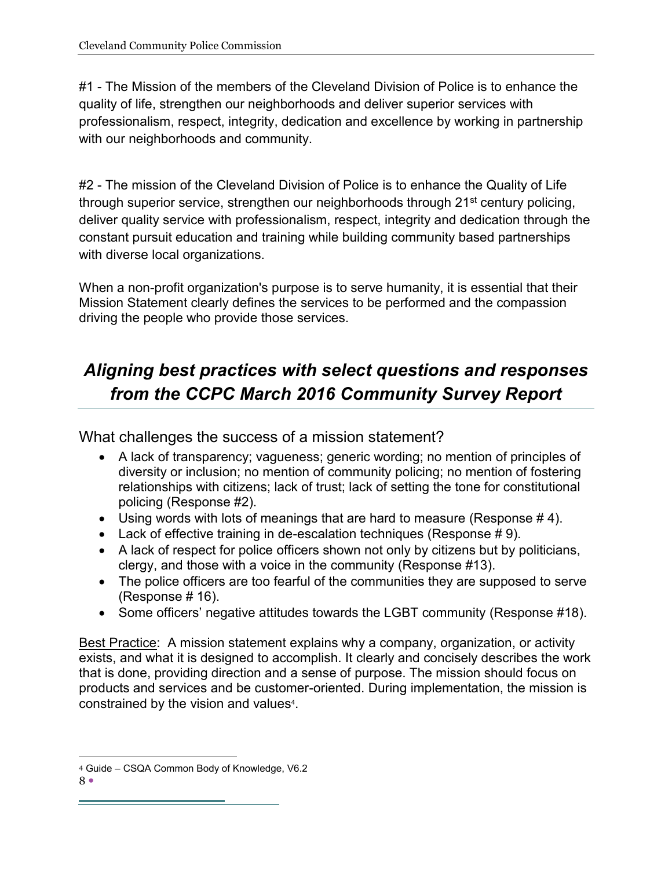#1 - The Mission of the members of the Cleveland Division of Police is to enhance the quality of life, strengthen our neighborhoods and deliver superior services with professionalism, respect, integrity, dedication and excellence by working in partnership with our neighborhoods and community.

#2 - The mission of the Cleveland Division of Police is to enhance the Quality of Life through superior service, strengthen our neighborhoods through 21<sup>st</sup> century policing, deliver quality service with professionalism, respect, integrity and dedication through the constant pursuit education and training while building community based partnerships with diverse local organizations.

When a non-profit organization's purpose is to serve humanity, it is essential that their Mission Statement clearly defines the services to be performed and the compassion driving the people who provide those services.

## *Aligning best practices with select questions and responses from the CCPC March 2016 Community Survey Report*

What challenges the success of a mission statement?

- A lack of transparency; vagueness; generic wording; no mention of principles of diversity or inclusion; no mention of community policing; no mention of fostering relationships with citizens; lack of trust; lack of setting the tone for constitutional policing (Response #2).
- Using words with lots of meanings that are hard to measure (Response  $# 4$ ).
- Eack of effective training in de-escalation techniques (Response  $# 9$ ).
- A lack of respect for police officers shown not only by citizens but by politicians, clergy, and those with a voice in the community (Response #13).
- The police officers are too fearful of the communities they are supposed to serve (Response # 16).
- Some officers' negative attitudes towards the LGBT community (Response #18).

Best Practice: A mission statement explains why a company, organization, or activity exists, and what it is designed to accomplish. It clearly and concisely describes the work that is done, providing direction and a sense of purpose. The mission should focus on products and services and be customer-oriented. During implementation, the mission is constrained by the vision and values<sup>4</sup>.

 <sup>4</sup> Guide – CSQA Common Body of Knowledge, V6.2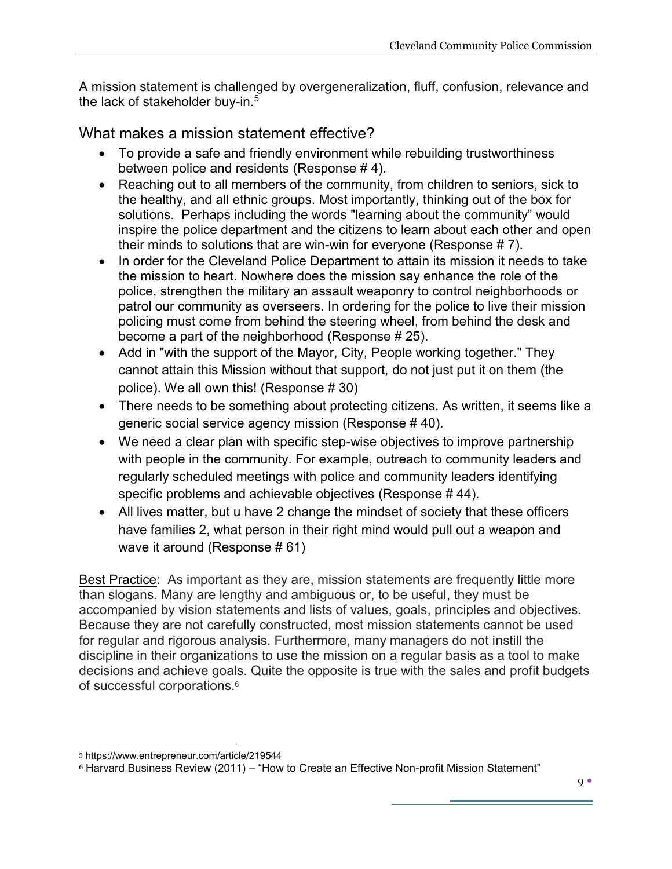A mission statement is challenged by overgeneralization, fluff, confusion, relevance and the lack of stakeholder buy-in.<sup>5</sup>

What makes a mission statement effective?

- To provide a safe and friendly environment while rebuilding trustworthiness between police and residents (Response # 4).
- Reaching out to all members of the community, from children to seniors, sick to the healthy, and all ethnic groups. Most importantly, thinking out of the box for solutions. Perhaps including the words "learning about the community" would inspire the police department and the citizens to learn about each other and open their minds to solutions that are win-win for everyone (Response # 7).
- In order for the Cleveland Police Department to attain its mission it needs to take the mission to heart. Nowhere does the mission say enhance the role of the police, strengthen the military an assault weaponry to control neighborhoods or patrol our community as overseers. In ordering for the police to live their mission policing must come from behind the steering wheel, from behind the desk and become a part of the neighborhood (Response # 25).
- Add in "with the support of the Mayor, City, People working together." They cannot attain this Mission without that support, do not just put it on them (the police). We all own this! (Response # 30)
- There needs to be something about protecting citizens. As written, it seems like a generic social service agency mission (Response # 40).
- We need a clear plan with specific step-wise objectives to improve partnership with people in the community. For example, outreach to community leaders and regularly scheduled meetings with police and community leaders identifying specific problems and achievable objectives (Response # 44).
- All lives matter, but u have 2 change the mindset of society that these officers have families 2, what person in their right mind would pull out a weapon and wave it around (Response # 61)

Best Practice: As important as they are, mission statements are frequently little more than slogans. Many are lengthy and ambiguous or, to be useful, they must be accompanied by vision statements and lists of values, goals, principles and objectives. Because they are not carefully constructed, most mission statements cannot be used for regular and rigorous analysis. Furthermore, many managers do not instill the discipline in their organizations to use the mission on a regular basis as a tool to make decisions and achieve goals. Quite the opposite is true with the sales and profit budgets of successful corporations.6

 <sup>5</sup> https://www.entrepreneur.com/article/219544

 $6$  Harvard Business Review (2011) – "How to Create an Effective Non-profit Mission Statement"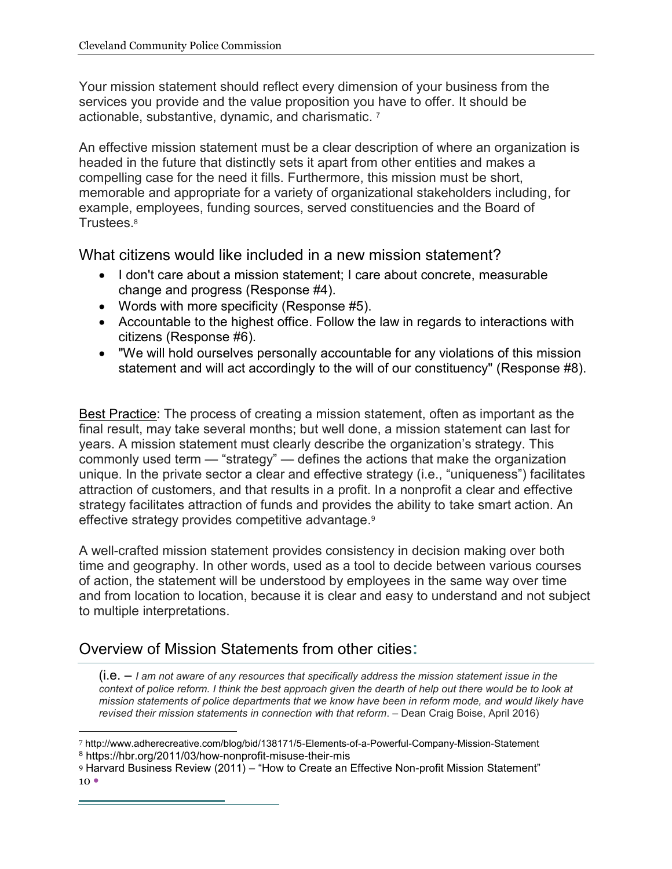Your mission statement should reflect every dimension of your business from the services you provide and the value proposition you have to offer. It should be actionable, substantive, dynamic, and charismatic. 7

An effective mission statement must be a clear description of where an organization is headed in the future that distinctly sets it apart from other entities and makes a compelling case for the need it fills. Furthermore, this mission must be short, memorable and appropriate for a variety of organizational stakeholders including, for example, employees, funding sources, served constituencies and the Board of Trustees.8

What citizens would like included in a new mission statement?

- I don't care about a mission statement; I care about concrete, measurable change and progress (Response #4).
- Words with more specificity (Response  $#5$ ).
- Accountable to the highest office. Follow the law in regards to interactions with citizens (Response #6).
- "We will hold ourselves personally accountable for any violations of this mission statement and will act accordingly to the will of our constituency" (Response #8).

Best Practice: The process of creating a mission statement, often as important as the final result, may take several months; but well done, a mission statement can last for years. A mission statement must clearly describe the organization's strategy. This commonly used term — "strategy" — defines the actions that make the organization unique. In the private sector a clear and effective strategy (i.e., "uniqueness") facilitates attraction of customers, and that results in a profit. In a nonprofit a clear and effective strategy facilitates attraction of funds and provides the ability to take smart action. An effective strategy provides competitive advantage.9

A well-crafted mission statement provides consistency in decision making over both time and geography. In other words, used as a tool to decide between various courses of action, the statement will be understood by employees in the same way over time and from location to location, because it is clear and easy to understand and not subject to multiple interpretations.

### Overview of Mission Statements from other cities:

(i.e. – *I am not aware of any resources that specifically address the mission statement issue in the context of police reform. I think the best approach given the dearth of help out there would be to look at mission statements of police departments that we know have been in reform mode, and would likely have revised their mission statements in connection with that reform*. – Dean Craig Boise, April 2016)

<sup>9</sup> Harvard Business Review (2011) – "How to Create an Effective Non-profit Mission Statement"

 <sup>7</sup> http://www.adherecreative.com/blog/bid/138171/5-Elements-of-a-Powerful-Company-Mission-Statement <sup>8</sup> https://hbr.org/2011/03/how-nonprofit-misuse-their-mis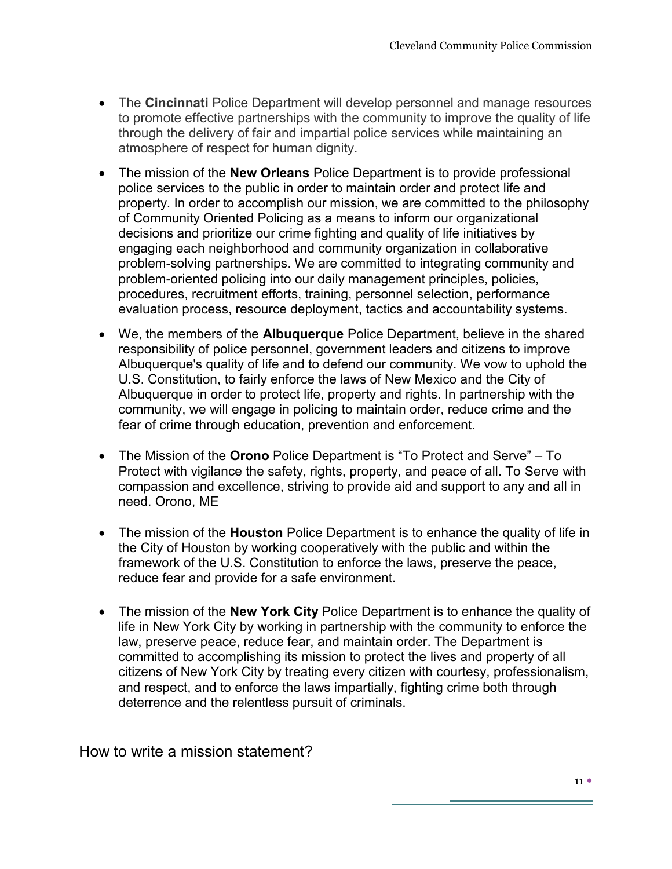- The **Cincinnati** Police Department will develop personnel and manage resources to promote effective partnerships with the community to improve the quality of life through the delivery of fair and impartial police services while maintaining an atmosphere of respect for human dignity.
- The mission of the **New Orleans** Police Department is to provide professional police services to the public in order to maintain order and protect life and property. In order to accomplish our mission, we are committed to the philosophy of Community Oriented Policing as a means to inform our organizational decisions and prioritize our crime fighting and quality of life initiatives by engaging each neighborhood and community organization in collaborative problem-solving partnerships. We are committed to integrating community and problem-oriented policing into our daily management principles, policies, procedures, recruitment efforts, training, personnel selection, performance evaluation process, resource deployment, tactics and accountability systems.
- We, the members of the **Albuquerque** Police Department, believe in the shared responsibility of police personnel, government leaders and citizens to improve Albuquerque's quality of life and to defend our community. We vow to uphold the U.S. Constitution, to fairly enforce the laws of New Mexico and the City of Albuquerque in order to protect life, property and rights. In partnership with the community, we will engage in policing to maintain order, reduce crime and the fear of crime through education, prevention and enforcement.
- The Mission of the **Orono** Police Department is "To Protect and Serve" To Protect with vigilance the safety, rights, property, and peace of all. To Serve with compassion and excellence, striving to provide aid and support to any and all in need. Orono, ME
- The mission of the **Houston** Police Department is to enhance the quality of life in the City of Houston by working cooperatively with the public and within the framework of the U.S. Constitution to enforce the laws, preserve the peace, reduce fear and provide for a safe environment.
- The mission of the **New York City** Police Department is to enhance the quality of life in New York City by working in partnership with the community to enforce the law, preserve peace, reduce fear, and maintain order. The Department is committed to accomplishing its mission to protect the lives and property of all citizens of New York City by treating every citizen with courtesy, professionalism, and respect, and to enforce the laws impartially, fighting crime both through deterrence and the relentless pursuit of criminals.

How to write a mission statement?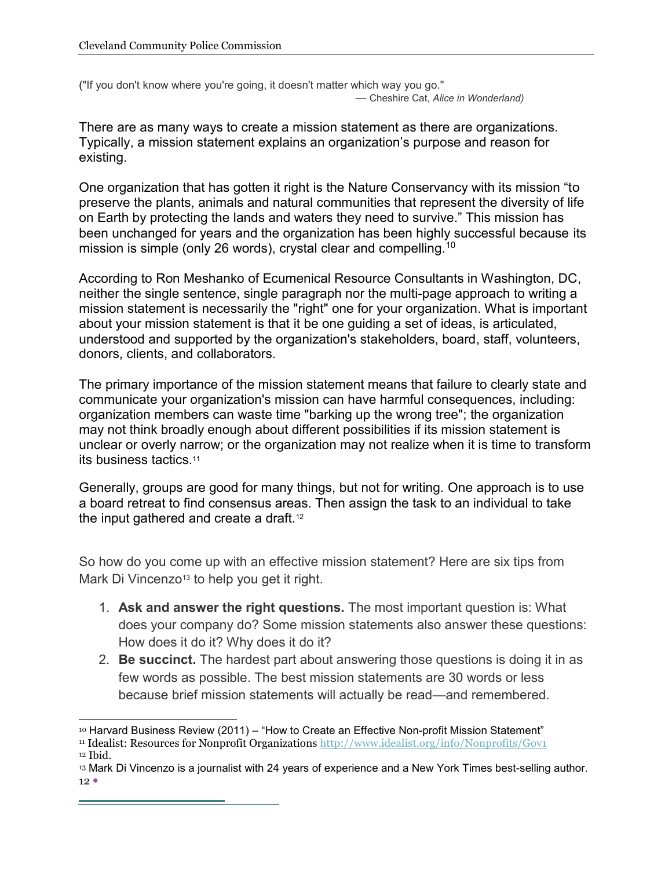("If you don't know where you're going, it doesn't matter which way you go." — Cheshire Cat, *Alice in Wonderland)*

There are as many ways to create a mission statement as there are organizations. Typically, a mission statement explains an organization's purpose and reason for existing.

One organization that has gotten it right is the Nature Conservancy with its mission "to preserve the plants, animals and natural communities that represent the diversity of life on Earth by protecting the lands and waters they need to survive." This mission has been unchanged for years and the organization has been highly successful because its mission is simple (only 26 words), crystal clear and compelling.10

According to Ron Meshanko of Ecumenical Resource Consultants in Washington, DC, neither the single sentence, single paragraph nor the multi-page approach to writing a mission statement is necessarily the "right" one for your organization. What is important about your mission statement is that it be one guiding a set of ideas, is articulated, understood and supported by the organization's stakeholders, board, staff, volunteers, donors, clients, and collaborators.

The primary importance of the mission statement means that failure to clearly state and communicate your organization's mission can have harmful consequences, including: organization members can waste time "barking up the wrong tree"; the organization may not think broadly enough about different possibilities if its mission statement is unclear or overly narrow; or the organization may not realize when it is time to transform its business tactics.11

Generally, groups are good for many things, but not for writing. One approach is to use a board retreat to find consensus areas. Then assign the task to an individual to take the input gathered and create a draft.<sup>12</sup>

So how do you come up with an effective mission statement? Here are six tips from Mark Di Vincenzo<sup>13</sup> to help you get it right.

- 1. **Ask and answer the right questions.** The most important question is: What does your company do? Some mission statements also answer these questions: How does it do it? Why does it do it?
- 2. **Be succinct.** The hardest part about answering those questions is doing it in as few words as possible. The best mission statements are 30 words or less because brief mission statements will actually be read—and remembered.

<sup>&</sup>lt;sup>10</sup> Harvard Business Review (2011) – "How to Create an Effective Non-profit Mission Statement"

<sup>11</sup> Idealist: Resources for Nonprofit Organizations http://www.idealist.org/info/Nonprofits/Gov1

 $12$  Ibid.

 $12$   $\bullet$ <sup>13</sup> Mark Di Vincenzo is a journalist with 24 years of experience and a New York Times best-selling author.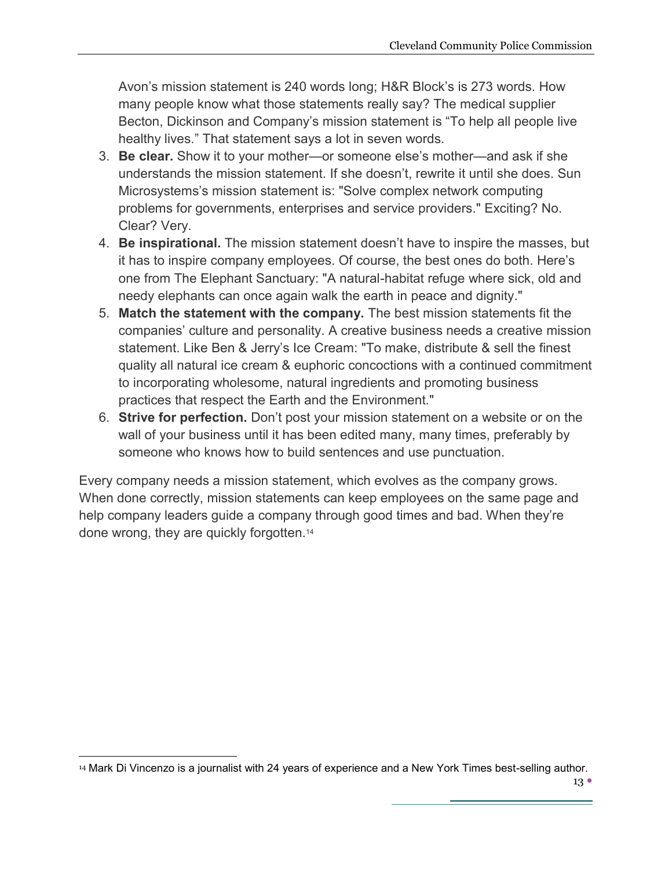Avon's mission statement is 240 words long; H&R Block's is 273 words. How many people know what those statements really say? The medical supplier Becton, Dickinson and Company's mission statement is "To help all people live healthy lives." That statement says a lot in seven words.

- 3. **Be clear.** Show it to your mother—or someone else's mother—and ask if she understands the mission statement. If she doesn't, rewrite it until she does. Sun Microsystems's mission statement is: "Solve complex network computing problems for governments, enterprises and service providers." Exciting? No. Clear? Very.
- 4. **Be inspirational.** The mission statement doesn't have to inspire the masses, but it has to inspire company employees. Of course, the best ones do both. Here's one from The Elephant Sanctuary: "A natural-habitat refuge where sick, old and needy elephants can once again walk the earth in peace and dignity."
- 5. **Match the statement with the company.** The best mission statements fit the companies' culture and personality. A creative business needs a creative mission statement. Like Ben & Jerry's Ice Cream: "To make, distribute & sell the finest quality all natural ice cream & euphoric concoctions with a continued commitment to incorporating wholesome, natural ingredients and promoting business practices that respect the Earth and the Environment."
- 6. **Strive for perfection.** Don't post your mission statement on a website or on the wall of your business until it has been edited many, many times, preferably by someone who knows how to build sentences and use punctuation.

Every company needs a mission statement, which evolves as the company grows. When done correctly, mission statements can keep employees on the same page and help company leaders guide a company through good times and bad. When they're done wrong, they are quickly forgotten.14

 <sup>14</sup> Mark Di Vincenzo is a journalist with 24 years of experience and a New York Times best-selling author.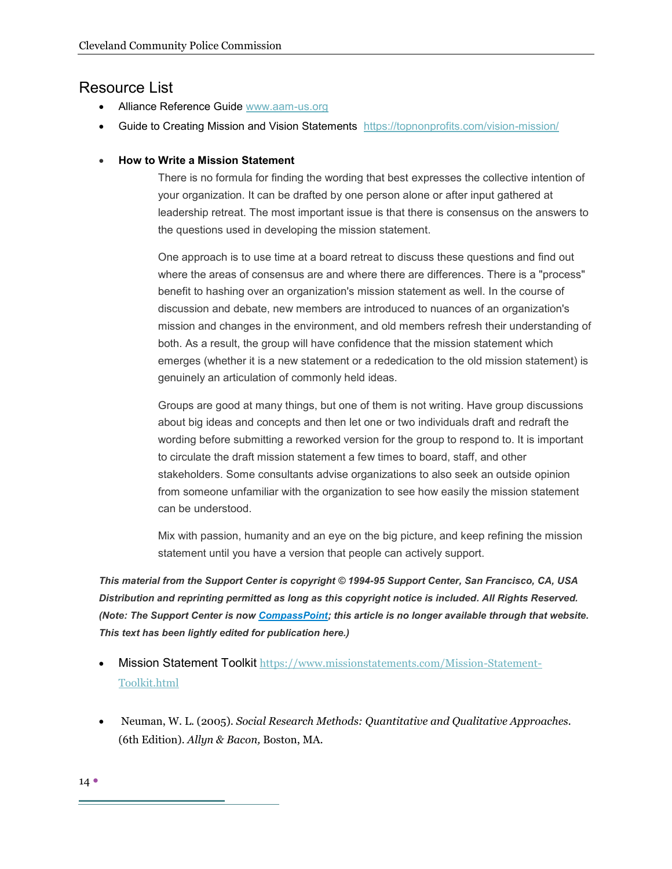#### Resource List

- Alliance Reference Guide www.aam-us.org
- Guide to Creating Mission and Vision Statements https://topnonprofits.com/vision-mission/
- x **How to Write a Mission Statement**

There is no formula for finding the wording that best expresses the collective intention of your organization. It can be drafted by one person alone or after input gathered at leadership retreat. The most important issue is that there is consensus on the answers to the questions used in developing the mission statement.

One approach is to use time at a board retreat to discuss these questions and find out where the areas of consensus are and where there are differences. There is a "process" benefit to hashing over an organization's mission statement as well. In the course of discussion and debate, new members are introduced to nuances of an organization's mission and changes in the environment, and old members refresh their understanding of both. As a result, the group will have confidence that the mission statement which emerges (whether it is a new statement or a rededication to the old mission statement) is genuinely an articulation of commonly held ideas.

Groups are good at many things, but one of them is not writing. Have group discussions about big ideas and concepts and then let one or two individuals draft and redraft the wording before submitting a reworked version for the group to respond to. It is important to circulate the draft mission statement a few times to board, staff, and other stakeholders. Some consultants advise organizations to also seek an outside opinion from someone unfamiliar with the organization to see how easily the mission statement can be understood.

Mix with passion, humanity and an eye on the big picture, and keep refining the mission statement until you have a version that people can actively support.

*This material from the Support Center is copyright © 1994-95 Support Center, San Francisco, CA, USA Distribution and reprinting permitted as long as this copyright notice is included. All Rights Reserved. (Note: The Support Center is now CompassPoint; this article is no longer available through that website. This text has been lightly edited for publication here.)*

- **Mission Statement Toolkit** https://www.missionstatements.com/Mission-Statement-Toolkit.html
- x Neuman, W. L. (2005). *Social Research Methods: Quantitative and Qualitative Approaches.*  (6th Edition)*. Allyn & Bacon,* Boston, MA.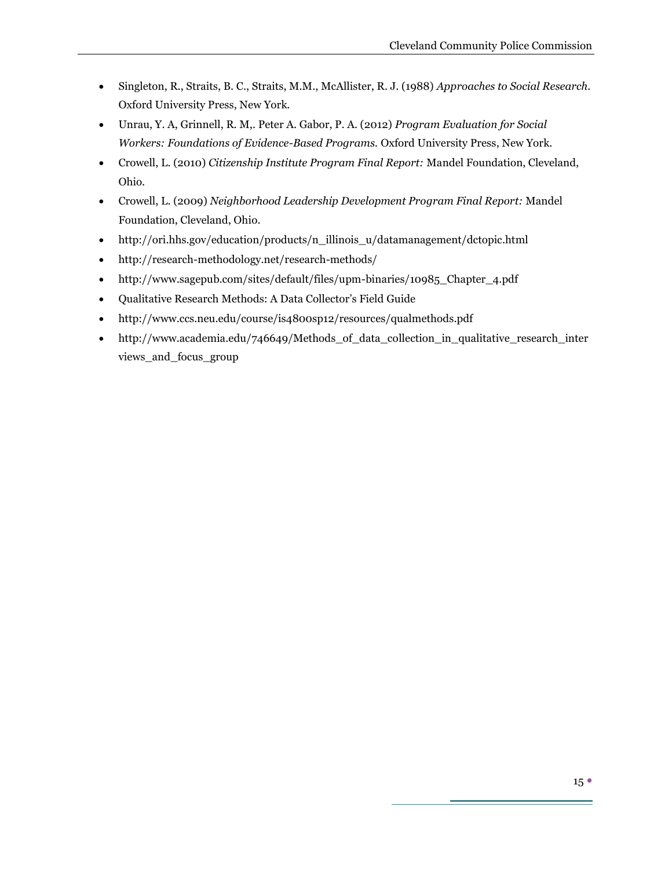- x Singleton, R., Straits, B. C., Straits, M.M., McAllister, R. J. (1988) *Approaches to Social Research.*  Oxford University Press, New York.
- x Unrau, Y. A, Grinnell, R. M,. Peter A. Gabor, P. A. (2012) *Program Evaluation for Social Workers: Foundations of Evidence-Based Programs.* Oxford University Press, New York.
- x Crowell, L. (2010) *Citizenship Institute Program Final Report:* Mandel Foundation, Cleveland, Ohio.
- x Crowell, L. (2009) *Neighborhood Leadership Development Program Final Report:* Mandel Foundation, Cleveland, Ohio.
- x http://ori.hhs.gov/education/products/n\_illinois\_u/datamanagement/dctopic.html
- http://research-methodology.net/research-methods/
- x http://www.sagepub.com/sites/default/files/upm-binaries/10985\_Chapter\_4.pdf
- Qualitative Research Methods: A Data Collector's Field Guide
- http://www.ccs.neu.edu/course/is4800sp12/resources/qualmethods.pdf
- http://www.academia.edu/746649/Methods\_of\_data\_collection\_in\_qualitative\_research\_inter views\_and\_focus\_group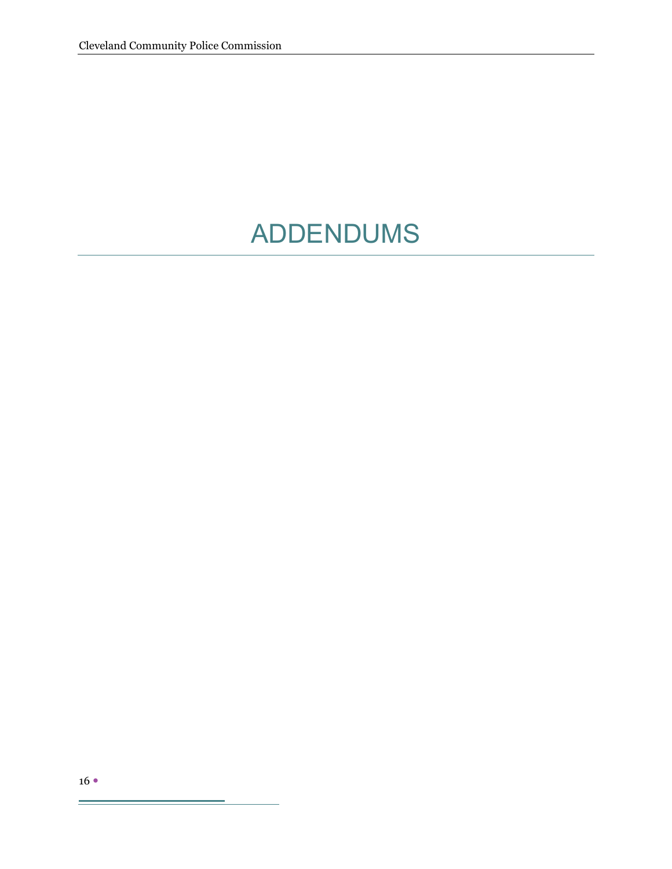## ADDENDUMS

÷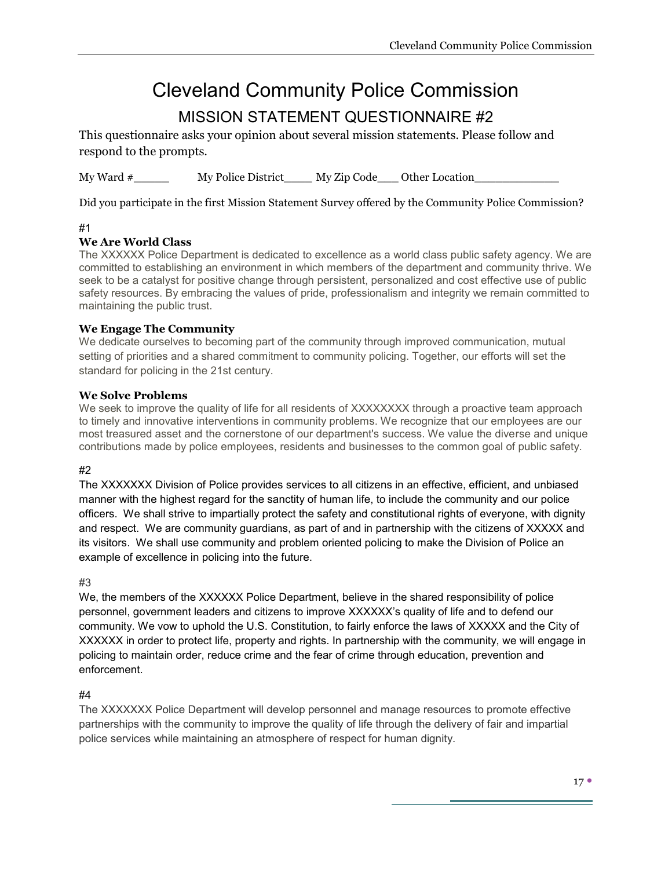## Cleveland Community Police Commission

## MISSION STATEMENT QUESTIONNAIRE #2

This questionnaire asks your opinion about several mission statements. Please follow and respond to the prompts.

My Ward  $\#$  My Police District\_\_\_\_\_ My Zip Code\_\_\_\_ Other Location\_\_\_\_\_\_\_\_\_\_\_\_\_

Did you participate in the first Mission Statement Survey offered by the Community Police Commission?

#### #1

#### **We Are World Class**

The XXXXXX Police Department is dedicated to excellence as a world class public safety agency. We are committed to establishing an environment in which members of the department and community thrive. We seek to be a catalyst for positive change through persistent, personalized and cost effective use of public safety resources. By embracing the values of pride, professionalism and integrity we remain committed to maintaining the public trust.

#### **We Engage The Community**

We dedicate ourselves to becoming part of the community through improved communication, mutual setting of priorities and a shared commitment to community policing. Together, our efforts will set the standard for policing in the 21st century.

#### **We Solve Problems**

We seek to improve the quality of life for all residents of XXXXXXXX through a proactive team approach to timely and innovative interventions in community problems. We recognize that our employees are our most treasured asset and the cornerstone of our department's success. We value the diverse and unique contributions made by police employees, residents and businesses to the common goal of public safety.

#### #2

The XXXXXXX Division of Police provides services to all citizens in an effective, efficient, and unbiased manner with the highest regard for the sanctity of human life, to include the community and our police officers. We shall strive to impartially protect the safety and constitutional rights of everyone, with dignity and respect. We are community guardians, as part of and in partnership with the citizens of XXXXX and its visitors. We shall use community and problem oriented policing to make the Division of Police an example of excellence in policing into the future.

#### #3

We, the members of the XXXXXX Police Department, believe in the shared responsibility of police personnel, government leaders and citizens to improve XXXXXX's quality of life and to defend our community. We vow to uphold the U.S. Constitution, to fairly enforce the laws of XXXXX and the City of XXXXXX in order to protect life, property and rights. In partnership with the community, we will engage in policing to maintain order, reduce crime and the fear of crime through education, prevention and enforcement.

#### #4

The XXXXXXX Police Department will develop personnel and manage resources to promote effective partnerships with the community to improve the quality of life through the delivery of fair and impartial police services while maintaining an atmosphere of respect for human dignity.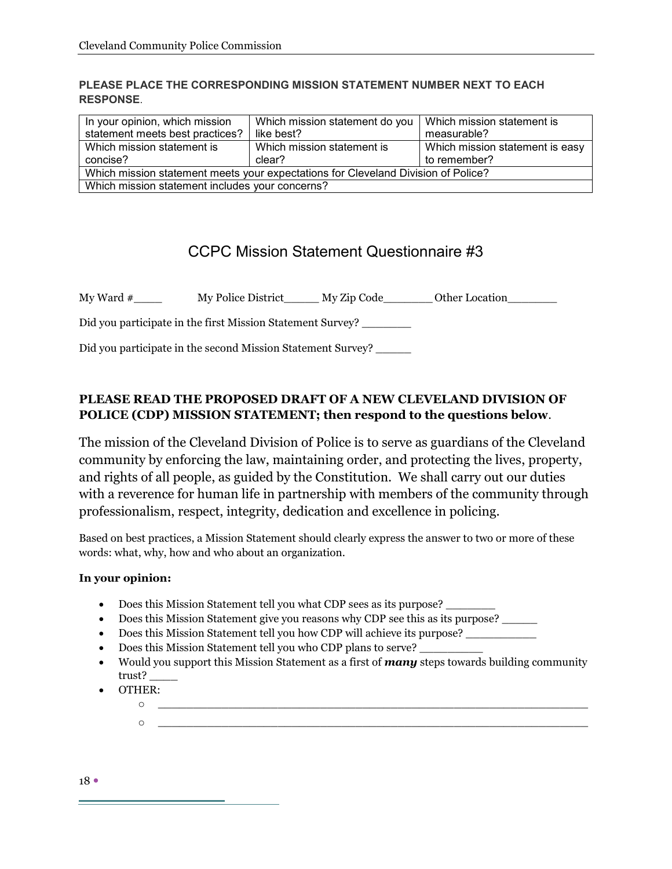#### **PLEASE PLACE THE CORRESPONDING MISSION STATEMENT NUMBER NEXT TO EACH RESPONSE**.

| In your opinion, which mission<br>statement meets best practices?                 | Which mission statement do you   Which mission statement is<br>like best? | measurable?                                     |  |
|-----------------------------------------------------------------------------------|---------------------------------------------------------------------------|-------------------------------------------------|--|
| Which mission statement is<br>concise?                                            | Which mission statement is<br>clear?                                      | Which mission statement is easy<br>to remember? |  |
| Which mission statement meets your expectations for Cleveland Division of Police? |                                                                           |                                                 |  |
| Which mission statement includes your concerns?                                   |                                                                           |                                                 |  |

### CCPC Mission Statement Questionnaire #3

My Ward # \_\_\_\_\_\_ My Police District \_\_\_\_\_ My Zip Code \_\_\_\_\_\_ Other Location

Did you participate in the first Mission Statement Survey? \_\_\_\_\_\_\_

Did you participate in the second Mission Statement Survey? \_\_\_\_\_\_

#### **PLEASE READ THE PROPOSED DRAFT OF A NEW CLEVELAND DIVISION OF POLICE (CDP) MISSION STATEMENT; then respond to the questions below**.

The mission of the Cleveland Division of Police is to serve as guardians of the Cleveland community by enforcing the law, maintaining order, and protecting the lives, property, and rights of all people, as guided by the Constitution. We shall carry out our duties with a reverence for human life in partnership with members of the community through professionalism, respect, integrity, dedication and excellence in policing.

Based on best practices, a Mission Statement should clearly express the answer to two or more of these words: what, why, how and who about an organization.

#### **In your opinion:**

- Does this Mission Statement tell you what CDP sees as its purpose?
- Does this Mission Statement give you reasons why CDP see this as its purpose?
- Does this Mission Statement tell you how CDP will achieve its purpose? \_\_\_\_\_\_\_\_
- Does this Mission Statement tell you who CDP plans to serve?
- x Would you support this Mission Statement as a first of *many* steps towards building community trust? \_\_\_\_
- OTHER:
	- o \_\_\_\_\_\_\_\_\_\_\_\_\_\_\_\_\_\_\_\_\_\_\_\_\_\_\_\_\_\_\_\_\_\_\_\_\_\_\_\_\_\_\_\_\_\_\_\_\_\_\_\_\_\_\_\_\_\_\_\_\_  $\circ$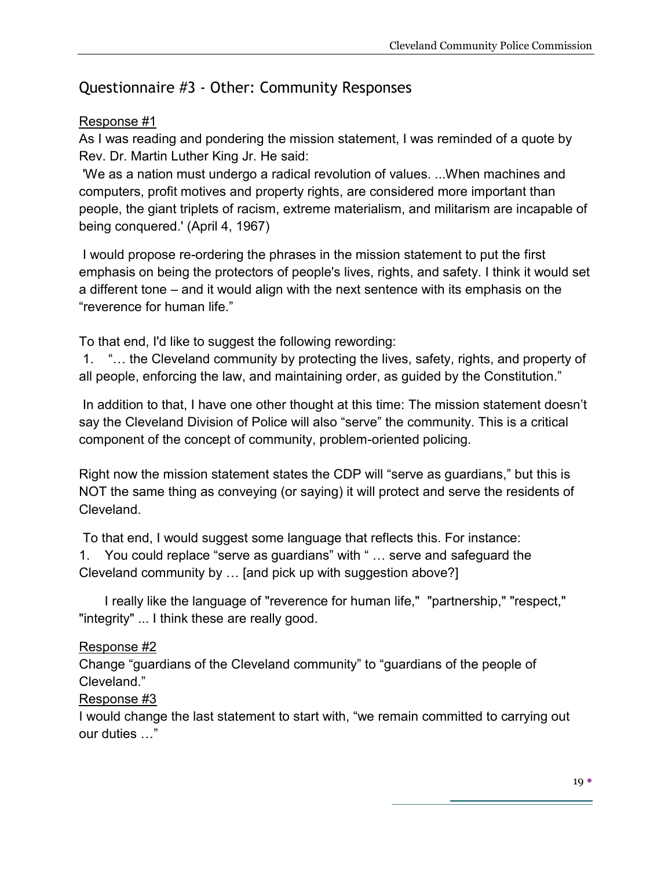## Questionnaire #3 - Other: Community Responses

#### Response #1

As I was reading and pondering the mission statement, I was reminded of a quote by Rev. Dr. Martin Luther King Jr. He said:

'We as a nation must undergo a radical revolution of values. ...When machines and computers, profit motives and property rights, are considered more important than people, the giant triplets of racism, extreme materialism, and militarism are incapable of being conquered.' (April 4, 1967)

I would propose re-ordering the phrases in the mission statement to put the first emphasis on being the protectors of people's lives, rights, and safety. I think it would set a different tone – and it would align with the next sentence with its emphasis on the "reverence for human life."

To that end, I'd like to suggest the following rewording:

1. "… the Cleveland community by protecting the lives, safety, rights, and property of all people, enforcing the law, and maintaining order, as guided by the Constitution."

In addition to that, I have one other thought at this time: The mission statement doesn't say the Cleveland Division of Police will also "serve" the community. This is a critical component of the concept of community, problem-oriented policing.

Right now the mission statement states the CDP will "serve as guardians," but this is NOT the same thing as conveying (or saying) it will protect and serve the residents of Cleveland.

To that end, I would suggest some language that reflects this. For instance:

1. You could replace "serve as guardians" with " … serve and safeguard the Cleveland community by … [and pick up with suggestion above?]

I really like the language of "reverence for human life," "partnership," "respect," "integrity" ... I think these are really good.

### Response #2

Change "guardians of the Cleveland community" to "guardians of the people of Cleveland."

#### Response #3

I would change the last statement to start with, "we remain committed to carrying out our duties …"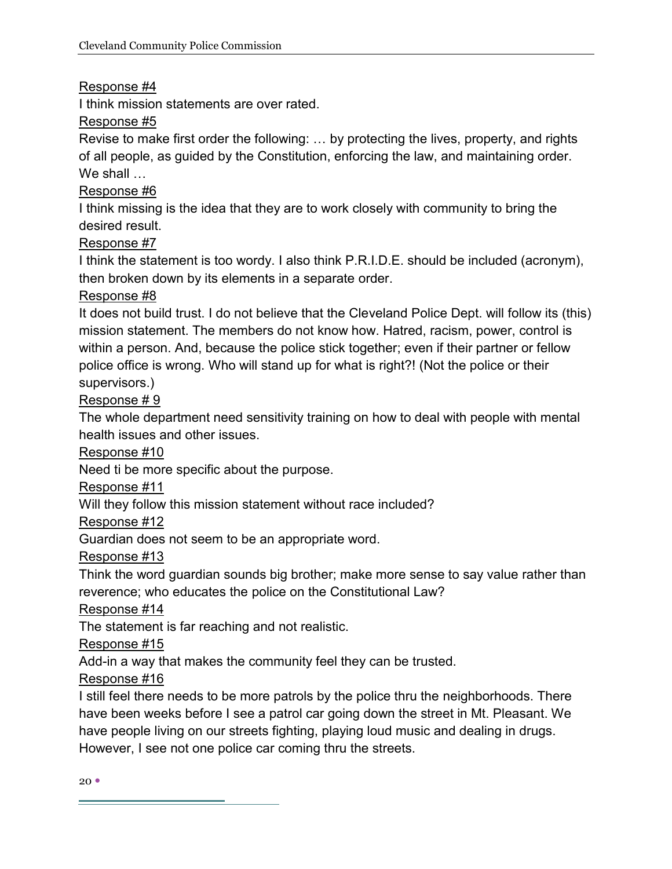#### Response #4

I think mission statements are over rated.

#### Response #5

Revise to make first order the following: … by protecting the lives, property, and rights of all people, as guided by the Constitution, enforcing the law, and maintaining order. We shall …

#### Response #6

I think missing is the idea that they are to work closely with community to bring the desired result.

#### Response #7

I think the statement is too wordy. I also think P.R.I.D.E. should be included (acronym), then broken down by its elements in a separate order.

#### Response #8

It does not build trust. I do not believe that the Cleveland Police Dept. will follow its (this) mission statement. The members do not know how. Hatred, racism, power, control is within a person. And, because the police stick together; even if their partner or fellow police office is wrong. Who will stand up for what is right?! (Not the police or their supervisors.)

#### Response # 9

The whole department need sensitivity training on how to deal with people with mental health issues and other issues.

Response #10

Need ti be more specific about the purpose.

Response #11

Will they follow this mission statement without race included?

#### Response #12

Guardian does not seem to be an appropriate word.

Response #13

Think the word guardian sounds big brother; make more sense to say value rather than reverence; who educates the police on the Constitutional Law?

Response #14

The statement is far reaching and not realistic.

Response #15

Add-in a way that makes the community feel they can be trusted.

Response #16

I still feel there needs to be more patrols by the police thru the neighborhoods. There have been weeks before I see a patrol car going down the street in Mt. Pleasant. We have people living on our streets fighting, playing loud music and dealing in drugs. However, I see not one police car coming thru the streets.